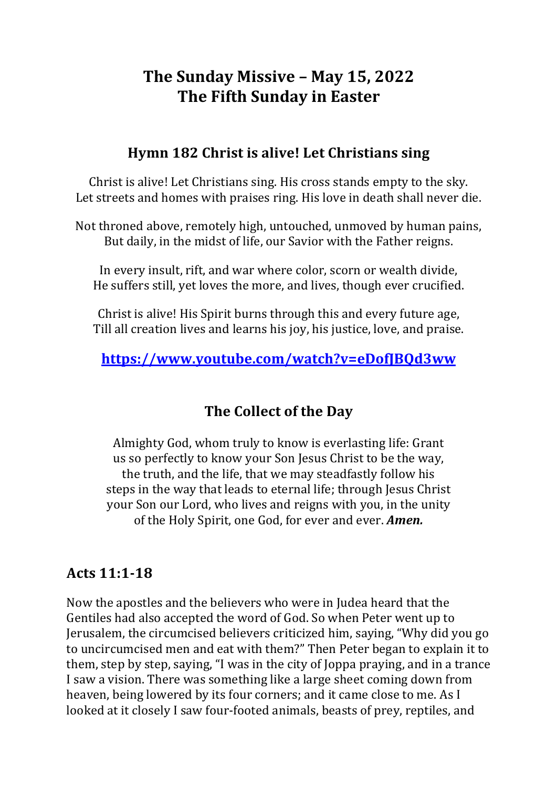# **The Sunday Missive - May 15, 2022 The Fifth Sunday in Easter**

#### **Hymn 182 Christ is alive! Let Christians sing**

Christ is alive! Let Christians sing. His cross stands empty to the sky. Let streets and homes with praises ring. His love in death shall never die.

Not throned above, remotely high, untouched, unmoved by human pains, But daily, in the midst of life, our Savior with the Father reigns.

In every insult, rift, and war where color, scorn or wealth divide, He suffers still, yet loves the more, and lives, though ever crucified.

Christ is alive! His Spirit burns through this and every future age. Till all creation lives and learns his joy, his justice, love, and praise.

#### **https://www.youtube.com/watch?v=eDofJBQd3ww**

# **The Collect of the Day**

Almighty God, whom truly to know is everlasting life: Grant us so perfectly to know your Son Jesus Christ to be the way, the truth, and the life, that we may steadfastly follow his steps in the way that leads to eternal life; through Jesus Christ your Son our Lord, who lives and reigns with you, in the unity of the Holy Spirit, one God, for ever and ever. *Amen.* 

#### **Acts 11:1-18**

Now the apostles and the believers who were in Judea heard that the Gentiles had also accepted the word of God. So when Peter went up to Jerusalem, the circumcised believers criticized him, saying, "Why did you go to uncircumcised men and eat with them?" Then Peter began to explain it to them, step by step, saying, "I was in the city of Joppa praying, and in a trance I saw a vision. There was something like a large sheet coming down from heaven, being lowered by its four corners; and it came close to me. As I looked at it closely I saw four-footed animals, beasts of prey, reptiles, and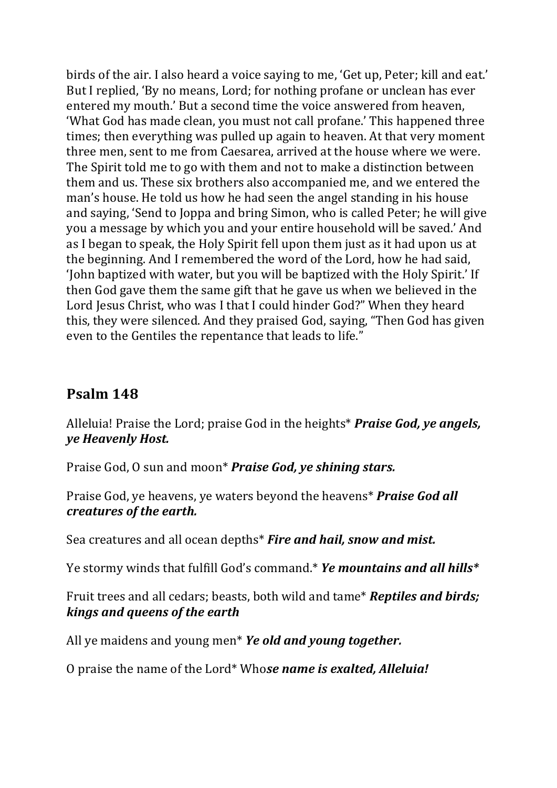birds of the air. I also heard a voice saying to me, 'Get up, Peter; kill and eat.' But I replied, 'By no means, Lord; for nothing profane or unclean has ever entered my mouth.' But a second time the voice answered from heaven, 'What God has made clean, you must not call profane.' This happened three times; then everything was pulled up again to heaven. At that very moment three men, sent to me from Caesarea, arrived at the house where we were. The Spirit told me to go with them and not to make a distinction between them and us. These six brothers also accompanied me, and we entered the man's house. He told us how he had seen the angel standing in his house and saying, 'Send to Joppa and bring Simon, who is called Peter; he will give you a message by which you and your entire household will be saved.' And as I began to speak, the Holy Spirit fell upon them just as it had upon us at the beginning. And I remembered the word of the Lord, how he had said, 'John baptized with water, but you will be baptized with the Holy Spirit.' If then God gave them the same gift that he gave us when we believed in the Lord Jesus Christ, who was I that I could hinder God?" When they heard this, they were silenced. And they praised God, saying, "Then God has given even to the Gentiles the repentance that leads to life."

# **Psalm 148**

Alleluia! Praise the Lord; praise God in the heights\* **Praise God, ye angels,** *ye Heavenly Host.*

Praise God, O sun and moon\* *Praise God, ye shining stars.* 

Praise God, ye heavens, ye waters beyond the heavens<sup>\*</sup> Praise God all *creatures of the earth.*

Sea creatures and all ocean depths<sup>\*</sup> Fire and hail, snow and mist.

Ye stormy winds that fulfill God's command.\* Ye mountains and all hills\*

Fruit trees and all cedars; beasts, both wild and tame<sup>\*</sup> **Reptiles and birds;** *kings and queens of the earth*

All ye maidens and young men<sup>\*</sup> *Ye old and young together.* 

O praise the name of the Lord<sup>\*</sup> Whose name is exalted, Alleluia!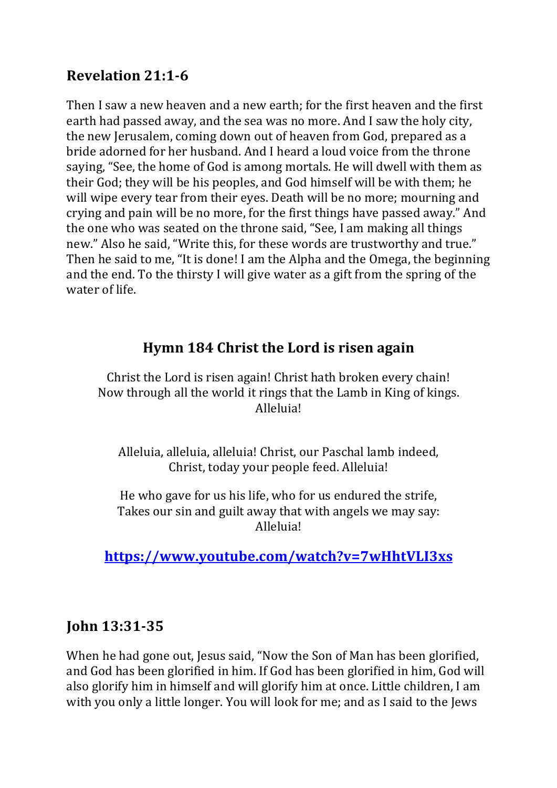# **Revelation 21:1-6**

Then I saw a new heaven and a new earth; for the first heaven and the first earth had passed away, and the sea was no more. And I saw the holy city, the new Jerusalem, coming down out of heaven from God, prepared as a bride adorned for her husband. And I heard a loud voice from the throne saying, "See, the home of God is among mortals. He will dwell with them as their God; they will be his peoples, and God himself will be with them; he will wipe every tear from their eyes. Death will be no more; mourning and crying and pain will be no more, for the first things have passed away." And the one who was seated on the throne said, "See, I am making all things new." Also he said, "Write this, for these words are trustworthy and true." Then he said to me, "It is done! I am the Alpha and the Omega, the beginning and the end. To the thirsty I will give water as a gift from the spring of the water of life.

# **Hymn** 184 Christ the Lord is risen again

Christ the Lord is risen again! Christ hath broken every chain! Now through all the world it rings that the Lamb in King of kings. Alleluia!

Alleluia, alleluia, alleluia! Christ, our Paschal lamb indeed, Christ, today your people feed. Alleluia!

He who gave for us his life, who for us endured the strife, Takes our sin and guilt away that with angels we may say: Alleluia! 

**https://www.youtube.com/watch?v=7wHhtVLI3xs**

#### **John 13:31-35**

When he had gone out, Jesus said, "Now the Son of Man has been glorified, and God has been glorified in him. If God has been glorified in him, God will also glorify him in himself and will glorify him at once. Little children, I am with you only a little longer. You will look for me; and as I said to the Jews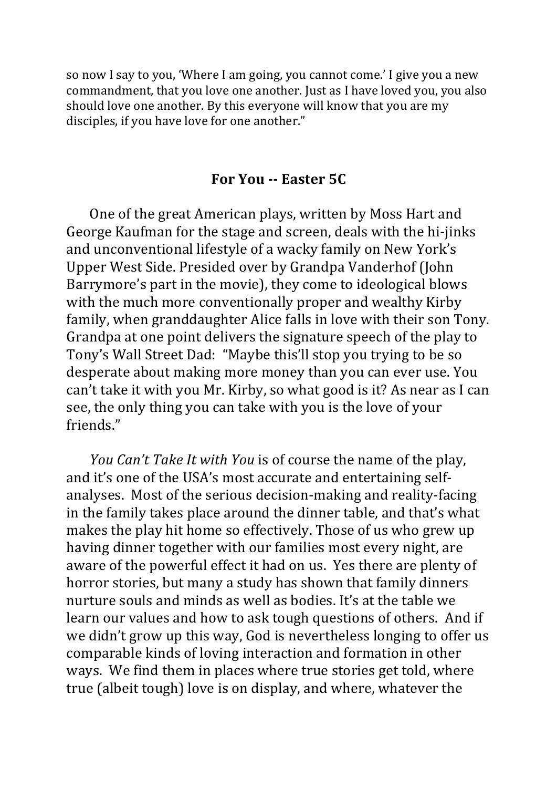so now I say to you, 'Where I am going, you cannot come.' I give you a new commandment, that you love one another. Just as I have loved you, you also should love one another. By this everyone will know that you are my disciples, if you have love for one another."

#### **For You -- Easter 5C**

One of the great American plays, written by Moss Hart and George Kaufman for the stage and screen, deals with the hi-jinks and unconventional lifestyle of a wacky family on New York's Upper West Side. Presided over by Grandpa Vanderhof (John Barrymore's part in the movie), they come to ideological blows with the much more conventionally proper and wealthy Kirby family, when granddaughter Alice falls in love with their son Tony. Grandpa at one point delivers the signature speech of the play to Tony's Wall Street Dad: "Maybe this'll stop you trying to be so desperate about making more money than you can ever use. You can't take it with you Mr. Kirby, so what good is it? As near as I can see, the only thing you can take with you is the love of your friends." 

*You Can't Take It with You* is of course the name of the play, and it's one of the USA's most accurate and entertaining selfanalyses. Most of the serious decision-making and reality-facing in the family takes place around the dinner table, and that's what makes the play hit home so effectively. Those of us who grew up having dinner together with our families most every night, are aware of the powerful effect it had on us. Yes there are plenty of horror stories, but many a study has shown that family dinners nurture souls and minds as well as bodies. It's at the table we learn our values and how to ask tough questions of others. And if we didn't grow up this way, God is nevertheless longing to offer us comparable kinds of loving interaction and formation in other ways. We find them in places where true stories get told, where true (albeit tough) love is on display, and where, whatever the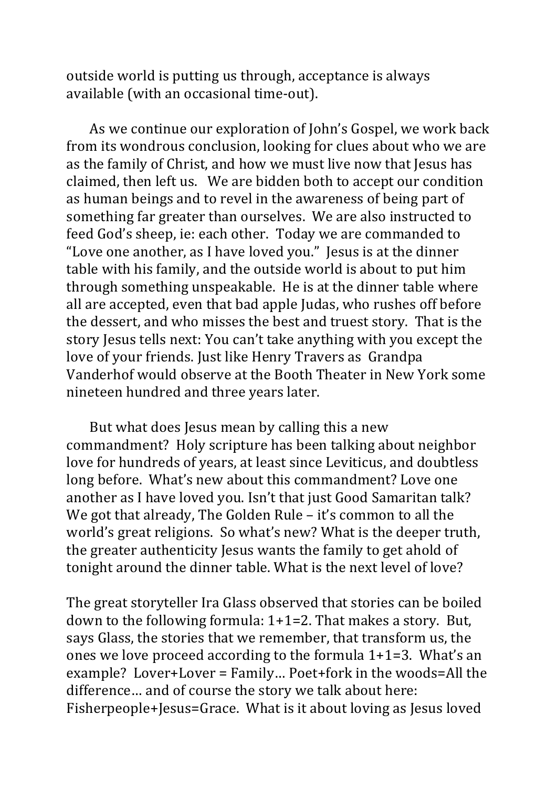outside world is putting us through, acceptance is always available (with an occasional time-out).

As we continue our exploration of John's Gospel, we work back from its wondrous conclusion, looking for clues about who we are as the family of Christ, and how we must live now that Jesus has claimed, then left us. We are bidden both to accept our condition as human beings and to revel in the awareness of being part of something far greater than ourselves. We are also instructed to feed God's sheep, ie: each other. Today we are commanded to "Love one another, as I have loved you." Jesus is at the dinner table with his family, and the outside world is about to put him through something unspeakable. He is at the dinner table where all are accepted, even that bad apple Judas, who rushes off before the dessert, and who misses the best and truest story. That is the story Jesus tells next: You can't take anything with you except the love of your friends. Just like Henry Travers as Grandpa Vanderhof would observe at the Booth Theater in New York some nineteen hundred and three years later. 

But what does Jesus mean by calling this a new commandment? Holy scripture has been talking about neighbor love for hundreds of years, at least since Leviticus, and doubtless long before. What's new about this commandment? Love one another as I have loved you. Isn't that just Good Samaritan talk? We got that already, The Golden Rule  $-$  it's common to all the world's great religions. So what's new? What is the deeper truth, the greater authenticity Jesus wants the family to get ahold of tonight around the dinner table. What is the next level of love?

The great storyteller Ira Glass observed that stories can be boiled down to the following formula:  $1+1=2$ . That makes a story. But, says Glass, the stories that we remember, that transform us, the ones we love proceed according to the formula  $1+1=3$ . What's an example? Lover+Lover =  $Family...$  Poet+fork in the woods=All the difference... and of course the story we talk about here: Fisherpeople+Jesus=Grace. What is it about loving as Jesus loved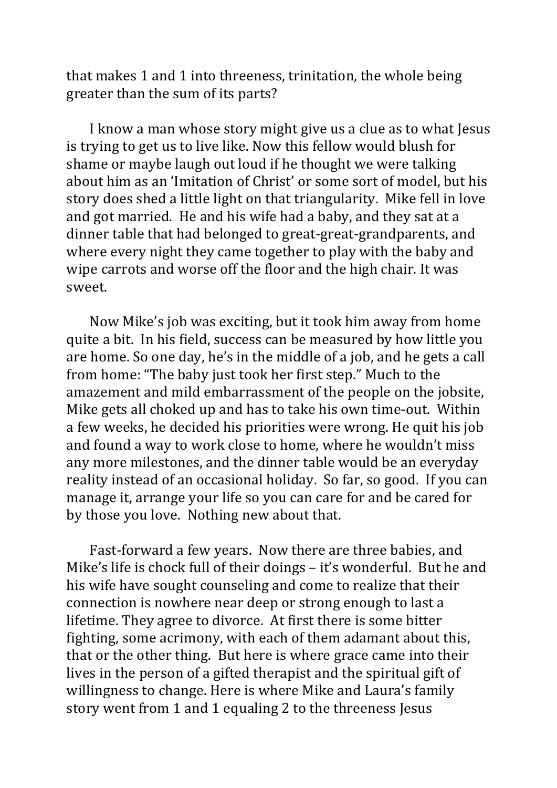that makes 1 and 1 into threeness, trinitation, the whole being greater than the sum of its parts?

I know a man whose story might give us a clue as to what Jesus is trying to get us to live like. Now this fellow would blush for shame or maybe laugh out loud if he thought we were talking about him as an 'Imitation of Christ' or some sort of model, but his story does shed a little light on that triangularity. Mike fell in love and got married. He and his wife had a baby, and they sat at a dinner table that had belonged to great-great-grandparents, and where every night they came together to play with the baby and wipe carrots and worse off the floor and the high chair. It was sweet.

Now Mike's job was exciting, but it took him away from home quite a bit. In his field, success can be measured by how little you are home. So one day, he's in the middle of a job, and he gets a call from home: "The baby just took her first step." Much to the amazement and mild embarrassment of the people on the jobsite, Mike gets all choked up and has to take his own time-out. Within a few weeks, he decided his priorities were wrong. He quit his job and found a way to work close to home, where he wouldn't miss any more milestones, and the dinner table would be an everyday reality instead of an occasional holiday. So far, so good. If you can manage it, arrange your life so you can care for and be cared for by those you love. Nothing new about that.

Fast-forward a few years. Now there are three babies, and Mike's life is chock full of their doings  $-$  it's wonderful. But he and his wife have sought counseling and come to realize that their connection is nowhere near deep or strong enough to last a lifetime. They agree to divorce. At first there is some bitter fighting, some acrimony, with each of them adamant about this, that or the other thing. But here is where grace came into their lives in the person of a gifted therapist and the spiritual gift of willingness to change. Here is where Mike and Laura's family story went from 1 and 1 equaling 2 to the threeness Jesus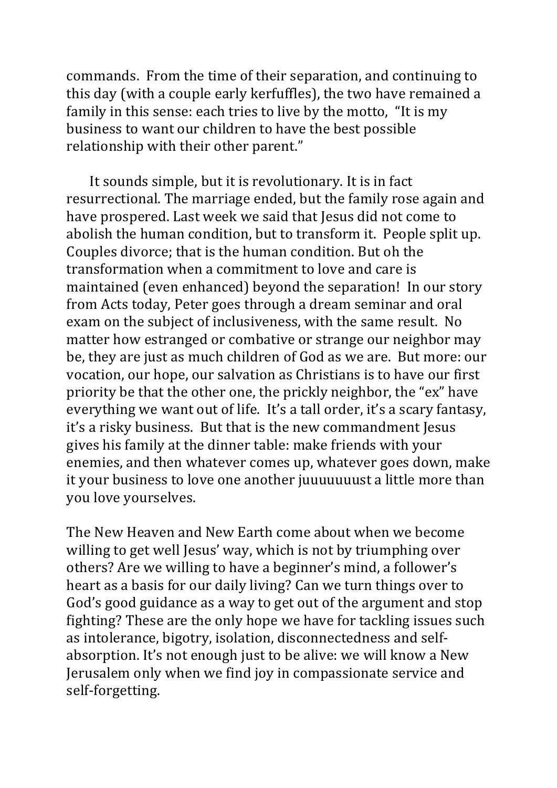commands. From the time of their separation, and continuing to this day (with a couple early kerfuffles), the two have remained a family in this sense: each tries to live by the motto, "It is my business to want our children to have the best possible relationship with their other parent."

It sounds simple, but it is revolutionary. It is in fact resurrectional. The marriage ended, but the family rose again and have prospered. Last week we said that Jesus did not come to abolish the human condition, but to transform it. People split up. Couples divorce; that is the human condition. But oh the transformation when a commitment to love and care is maintained (even enhanced) beyond the separation! In our story from Acts today, Peter goes through a dream seminar and oral exam on the subject of inclusiveness, with the same result. No matter how estranged or combative or strange our neighbor may be, they are just as much children of God as we are. But more: our vocation, our hope, our salvation as Christians is to have our first priority be that the other one, the prickly neighbor, the "ex" have everything we want out of life. It's a tall order, it's a scary fantasy, it's a risky business. But that is the new commandment Jesus gives his family at the dinner table: make friends with your enemies, and then whatever comes up, whatever goes down, make it your business to love one another juuuuuuust a little more than you love yourselves.

The New Heaven and New Earth come about when we become willing to get well Jesus' way, which is not by triumphing over others? Are we willing to have a beginner's mind, a follower's heart as a basis for our daily living? Can we turn things over to God's good guidance as a way to get out of the argument and stop fighting? These are the only hope we have for tackling issues such as intolerance, bigotry, isolation, disconnectedness and selfabsorption. It's not enough just to be alive: we will know a New Jerusalem only when we find joy in compassionate service and self-forgetting.